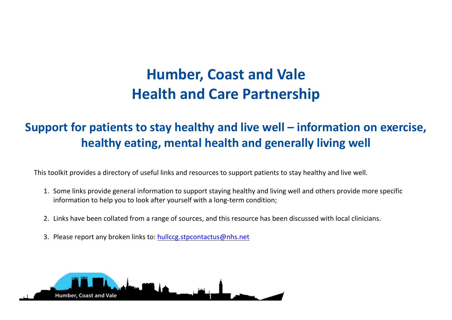## **Humber, Coast and Vale Health and Care Partnership**

## **Support for patients to stay healthy and live well – information on exercise, healthy eating, mental health and generally living well**

This toolkit provides a directory of useful links and resources to support patients to stay healthy and live well.

- 1. Some links provide general information to support staying healthy and living well and others provide more specific information to help you to look after yourself with a long-term condition;
- 2. Links have been collated from a range of sources, and this resource has been discussed with local clinicians.
- 3. Please report any broken links to: [hullccg.stpcontactus@nhs.net](mailto:hullccg.stpcontactus@nhs.net)

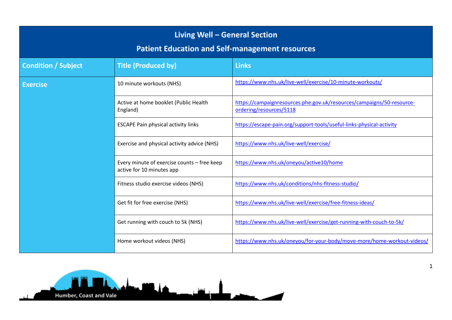| Living Well - General Section<br><b>Patient Education and Self-management resources</b> |                                                                          |                                                                                                  |  |  |
|-----------------------------------------------------------------------------------------|--------------------------------------------------------------------------|--------------------------------------------------------------------------------------------------|--|--|
| <b>Condition / Subject</b>                                                              | <b>Title (Produced by)</b>                                               | <b>Links</b>                                                                                     |  |  |
| <b>Exercise</b>                                                                         | 10 minute workouts (NHS)                                                 | https://www.nhs.uk/live-well/exercise/10-minute-workouts/                                        |  |  |
|                                                                                         | Active at home booklet (Public Health<br>England)                        | https://campaignresources.phe.gov.uk/resources/campaigns/50-resource-<br>ordering/resources/5118 |  |  |
|                                                                                         | <b>ESCAPE Pain physical activity links</b>                               | https://escape-pain.org/support-tools/useful-links-physical-activity                             |  |  |
|                                                                                         | Exercise and physical activity advice (NHS)                              | https://www.nhs.uk/live-well/exercise/                                                           |  |  |
|                                                                                         | Every minute of exercise counts - free keep<br>active for 10 minutes app | https://www.nhs.uk/oneyou/active10/home                                                          |  |  |
|                                                                                         | Fitness studio exercise videos (NHS)                                     | https://www.nhs.uk/conditions/nhs-fitness-studio/                                                |  |  |
|                                                                                         | Get fit for free exercise (NHS)                                          | https://www.nhs.uk/live-well/exercise/free-fitness-ideas/                                        |  |  |
|                                                                                         | Get running with couch to 5k (NHS)                                       | https://www.nhs.uk/live-well/exercise/get-running-with-couch-to-5k/                              |  |  |
|                                                                                         | Home workout videos (NHS)                                                | https://www.nhs.uk/oneyou/for-your-body/move-more/home-workout-videos/                           |  |  |

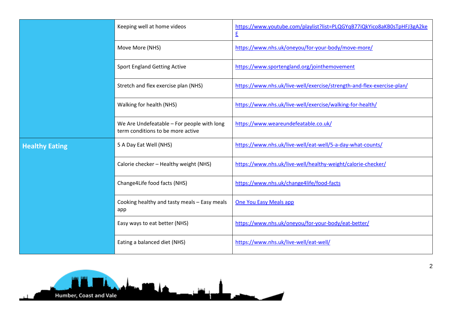|                       | Keeping well at home videos                                                     | https://www.youtube.com/playlist?list=PLQGYqB77iQkYico8aKB0sTpHFJ3gA2ke<br>E |
|-----------------------|---------------------------------------------------------------------------------|------------------------------------------------------------------------------|
|                       | Move More (NHS)                                                                 | https://www.nhs.uk/oneyou/for-your-body/move-more/                           |
|                       | <b>Sport England Getting Active</b>                                             | https://www.sportengland.org/jointhemovement                                 |
|                       | Stretch and flex exercise plan (NHS)                                            | https://www.nhs.uk/live-well/exercise/strength-and-flex-exercise-plan/       |
|                       | Walking for health (NHS)                                                        | https://www.nhs.uk/live-well/exercise/walking-for-health/                    |
|                       | We Are Undefeatable - For people with long<br>term conditions to be more active | https://www.weareundefeatable.co.uk/                                         |
| <b>Healthy Eating</b> | 5 A Day Eat Well (NHS)                                                          | https://www.nhs.uk/live-well/eat-well/5-a-day-what-counts/                   |
|                       | Calorie checker - Healthy weight (NHS)                                          | https://www.nhs.uk/live-well/healthy-weight/calorie-checker/                 |
|                       | Change4Life food facts (NHS)                                                    | https://www.nhs.uk/change4life/food-facts                                    |
|                       | Cooking healthy and tasty meals - Easy meals<br>app                             | <b>One You Easy Meals app</b>                                                |
|                       | Easy ways to eat better (NHS)                                                   | https://www.nhs.uk/oneyou/for-your-body/eat-better/                          |
|                       | Eating a balanced diet (NHS)                                                    | https://www.nhs.uk/live-well/eat-well/                                       |



2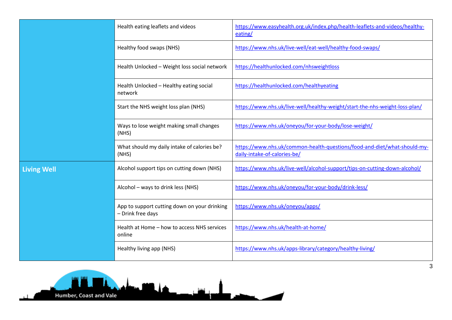|                    | Health eating leaflets and videos                                 | https://www.easyhealth.org.uk/index.php/health-leaflets-and-videos/healthy-<br>eating/                   |
|--------------------|-------------------------------------------------------------------|----------------------------------------------------------------------------------------------------------|
|                    | Healthy food swaps (NHS)                                          | https://www.nhs.uk/live-well/eat-well/healthy-food-swaps/                                                |
|                    | Health Unlocked - Weight loss social network                      | https://healthunlocked.com/nhsweightloss                                                                 |
|                    | Health Unlocked - Healthy eating social<br>network                | https://healthunlocked.com/healthyeating                                                                 |
|                    | Start the NHS weight loss plan (NHS)                              | https://www.nhs.uk/live-well/healthy-weight/start-the-nhs-weight-loss-plan/                              |
|                    | Ways to lose weight making small changes<br>(MHS)                 | https://www.nhs.uk/oneyou/for-your-body/lose-weight/                                                     |
|                    | What should my daily intake of calories be?<br>(MHS)              | https://www.nhs.uk/common-health-questions/food-and-diet/what-should-my-<br>daily-intake-of-calories-be/ |
| <b>Living Well</b> | Alcohol support tips on cutting down (NHS)                        | https://www.nhs.uk/live-well/alcohol-support/tips-on-cutting-down-alcohol/                               |
|                    | Alcohol - ways to drink less (NHS)                                | https://www.nhs.uk/oneyou/for-your-body/drink-less/                                                      |
|                    | App to support cutting down on your drinking<br>- Drink free days | https://www.nhs.uk/oneyou/apps/                                                                          |
|                    | Health at Home - how to access NHS services<br>online             | https://www.nhs.uk/health-at-home/                                                                       |
|                    | Healthy living app (NHS)                                          | https://www.nhs.uk/apps-library/category/healthy-living/                                                 |



3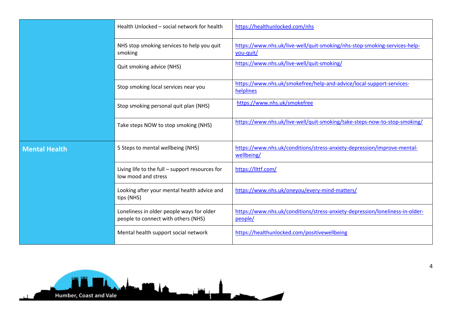|                      | Health Unlocked - social network for health                                      | https://healthunlocked.com/nhs                                                          |
|----------------------|----------------------------------------------------------------------------------|-----------------------------------------------------------------------------------------|
|                      | NHS stop smoking services to help you quit<br>smoking                            | https://www.nhs.uk/live-well/quit-smoking/nhs-stop-smoking-services-help-<br>you-quit/  |
|                      | Quit smoking advice (NHS)                                                        | https://www.nhs.uk/live-well/quit-smoking/                                              |
|                      | Stop smoking local services near you                                             | https://www.nhs.uk/smokefree/help-and-advice/local-support-services-<br>helplines       |
|                      | Stop smoking personal quit plan (NHS)                                            | https://www.nhs.uk/smokefree                                                            |
|                      | Take steps NOW to stop smoking (NHS)                                             | https://www.nhs.uk/live-well/quit-smoking/take-steps-now-to-stop-smoking/               |
| <b>Mental Health</b> | 5 Steps to mental wellbeing (NHS)                                                | https://www.nhs.uk/conditions/stress-anxiety-depression/improve-mental-<br>wellbeing/   |
|                      | Living life to the full - support resources for<br>low mood and stress           | https://llttf.com/                                                                      |
|                      | Looking after your mental health advice and<br>tips (NHS)                        | https://www.nhs.uk/oneyou/every-mind-matters/                                           |
|                      | Loneliness in older people ways for older<br>people to connect with others (NHS) | https://www.nhs.uk/conditions/stress-anxiety-depression/loneliness-in-older-<br>people/ |
|                      | Mental health support social network                                             | https://healthunlocked.com/positivewellbeing                                            |